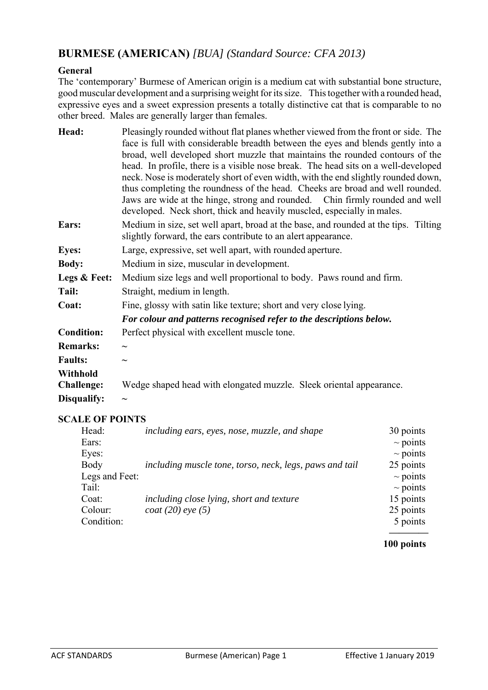# **BURMESE (AMERICAN)** *[BUA] (Standard Source: CFA 2013)*

# **General**

The 'contemporary' Burmese of American origin is a medium cat with substantial bone structure, good muscular development and a surprising weight for its size. This together with a rounded head, expressive eyes and a sweet expression presents a totally distinctive cat that is comparable to no other breed. Males are generally larger than females.

| Head:             | Pleasingly rounded without flat planes whether viewed from the front or side. The                                                                      |  |  |
|-------------------|--------------------------------------------------------------------------------------------------------------------------------------------------------|--|--|
|                   | face is full with considerable breadth between the eyes and blends gently into a                                                                       |  |  |
|                   | broad, well developed short muzzle that maintains the rounded contours of the                                                                          |  |  |
|                   | head. In profile, there is a visible nose break. The head sits on a well-developed                                                                     |  |  |
|                   | neck. Nose is moderately short of even width, with the end slightly rounded down,                                                                      |  |  |
|                   | thus completing the roundness of the head. Cheeks are broad and well rounded.                                                                          |  |  |
|                   | Jaws are wide at the hinge, strong and rounded. Chin firmly rounded and well<br>developed. Neck short, thick and heavily muscled, especially in males. |  |  |
| Ears:             | Medium in size, set well apart, broad at the base, and rounded at the tips. Tilting<br>slightly forward, the ears contribute to an alert appearance.   |  |  |
| <b>Eyes:</b>      | Large, expressive, set well apart, with rounded aperture.                                                                                              |  |  |
| <b>Body:</b>      | Medium in size, muscular in development.                                                                                                               |  |  |
| Legs & Feet:      | Medium size legs and well proportional to body. Paws round and firm.                                                                                   |  |  |
| Tail:             | Straight, medium in length.                                                                                                                            |  |  |
| Coat:             | Fine, glossy with satin like texture; short and very close lying.                                                                                      |  |  |
|                   | For colour and patterns recognised refer to the descriptions below.                                                                                    |  |  |
| <b>Condition:</b> | Perfect physical with excellent muscle tone.                                                                                                           |  |  |
| <b>Remarks:</b>   | $\widetilde{\phantom{m}}$                                                                                                                              |  |  |
| <b>Faults:</b>    | $\tilde{\phantom{a}}$                                                                                                                                  |  |  |
| <b>Withhold</b>   |                                                                                                                                                        |  |  |
| <b>Challenge:</b> | Wedge shaped head with elongated muzzle. Sleek oriental appearance.                                                                                    |  |  |
| Disqualify:       |                                                                                                                                                        |  |  |

# **SCALE OF POINTS**

| Head:          | including ears, eyes, nose, muzzle, and shape           | 30 points     |
|----------------|---------------------------------------------------------|---------------|
| Ears:          |                                                         | $\sim$ points |
| Eyes:          |                                                         | $\sim$ points |
| Body           | including muscle tone, torso, neck, legs, paws and tail | 25 points     |
| Legs and Feet: |                                                         | $\sim$ points |
| Tail:          |                                                         | $\sim$ points |
| Coat:          | including close lying, short and texture                | 15 points     |
| Colour:        | <i>coat</i> (20) <i>eye</i> (5)                         | 25 points     |
| Condition:     |                                                         | 5 points      |
|                |                                                         |               |

#### **100 points**